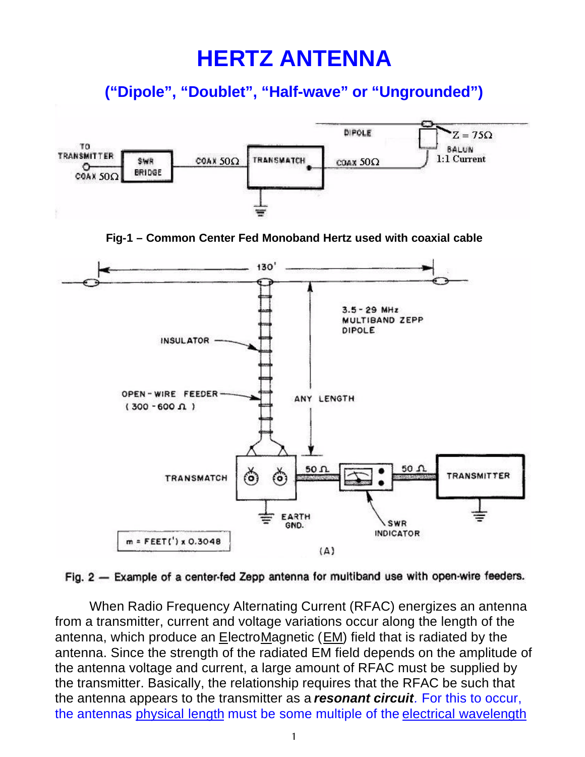## **HERTZ ANTENNA**

**("Dipole", "Doublet", "Half-wave" or "Ungrounded")**



Fig. 2 - Example of a center-fed Zepp antenna for multiband use with open-wire feeders.

When Radio Frequency Alternating Current (RFAC) energizes an antenna from a transmitter, current and voltage variations occur along the length of the antenna, which produce an  $E$ lectroMagnetic ( $EM$ ) field that is radiated by the antenna. Since the strength of the radiated EM field depends on the amplitude of the antenna voltage and current, a large amount of RFAC must be supplied by the transmitter. Basically, the relationship requires that the RFAC be such that the antenna appears to the transmitter as a *resonant circuit.* For this to occur, the antennas physical length must be some multiple of the electrical wavelength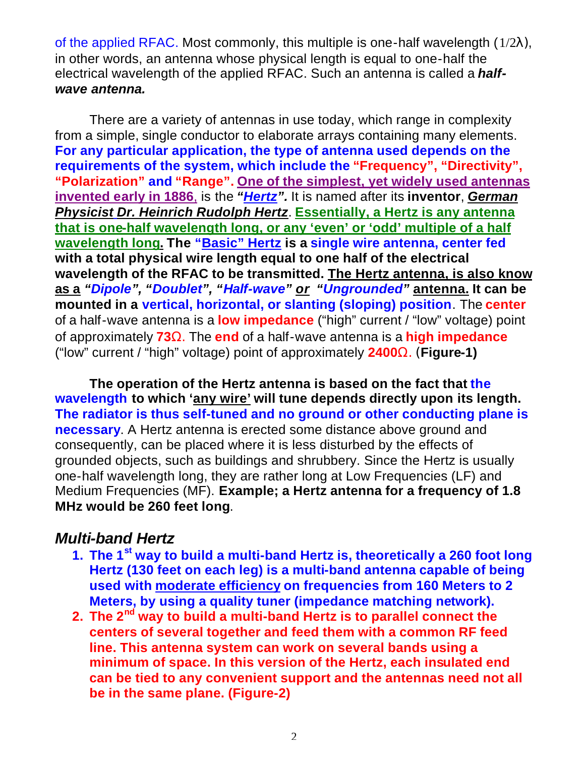of the applied RFAC. Most commonly, this multiple is one-half wavelength  $(1/2\lambda)$ , in other words, an antenna whose physical length is equal to one-half the electrical wavelength of the applied RFAC. Such an antenna is called a *halfwave antenna.*

There are a variety of antennas in use today, which range in complexity from a simple, single conductor to elaborate arrays containing many elements. **For any particular application, the type of antenna used depends on the requirements of the system, which include the "Frequency", "Directivity", "Polarization" and "Range". One of the simplest, yet widely used antennas invented early in 1886**, is the *"Hertz".* It is named after its **inventor**, *German Physicist Dr. Heinrich Rudolph Hertz*. **Essentially, a Hertz is any antenna that is one-half wavelength long, or any 'even' or 'odd' multiple of a half wavelength long. The "Basic" Hertz is a single wire antenna, center fed with a total physical wire length equal to one half of the electrical wavelength of the RFAC to be transmitted. The Hertz antenna, is also know as a** *"Dipole", "Doublet", "Half-wave" or "Ungrounded"* **antenna. It can be mounted in a vertical, horizontal, or slanting (sloping) position**. The **center** of a half-wave antenna is a **low impedance** ("high" current / "low" voltage) point of approximately **73W.** The **end** of a half-wave antenna is a **high impedance** ("low" current / "high" voltage) point of approximately **2400W. (Figure-1)**

**The operation of the Hertz antenna is based on the fact that the wavelength to which 'any wire' will tune depends directly upon its length. The radiator is thus self-tuned and no ground or other conducting plane is necessary**. A Hertz antenna is erected some distance above ground and consequently, can be placed where it is less disturbed by the effects of grounded objects, such as buildings and shrubbery. Since the Hertz is usually one-half wavelength long, they are rather long at Low Frequencies (LF) and Medium Frequencies (MF). **Example; a Hertz antenna for a frequency of 1.8 MHz would be 260 feet long**.

## *Multi-band Hertz*

- **1. The 1st way to build a multi-band Hertz is, theoretically a 260 foot long Hertz (130 feet on each leg) is a multi-band antenna capable of being used with moderate efficiency on frequencies from 160 Meters to 2 Meters, by using a quality tuner (impedance matching network).**
- **2. The 2nd way to build a multi-band Hertz is to parallel connect the centers of several together and feed them with a common RF feed line. This antenna system can work on several bands using a minimum of space. In this version of the Hertz, each insulated end can be tied to any convenient support and the antennas need not all be in the same plane. (Figure-2)**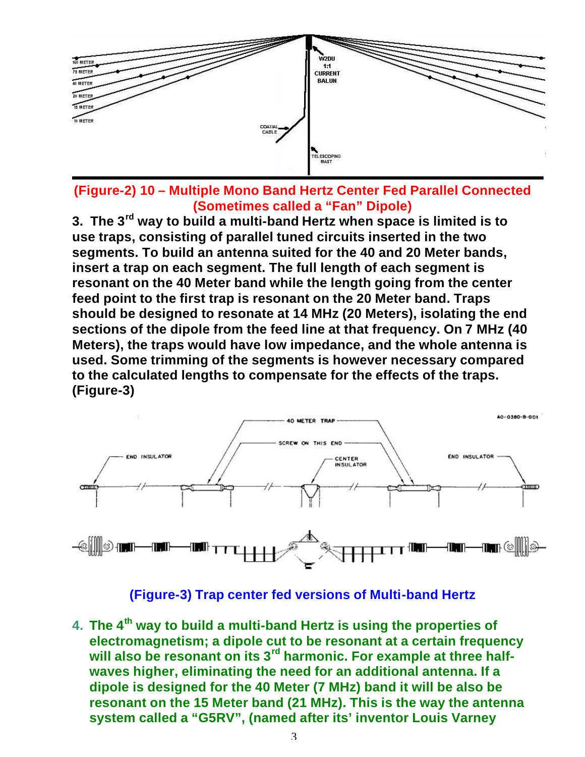

**(Figure-2) 10 – Multiple Mono Band Hertz Center Fed Parallel Connected (Sometimes called a "Fan" Dipole)**

**3. The 3rd way to build a multi-band Hertz when space is limited is to use traps, consisting of parallel tuned circuits inserted in the two segments. To build an antenna suited for the 40 and 20 Meter bands, insert a trap on each segment. The full length of each segment is resonant on the 40 Meter band while the length going from the center feed point to the first trap is resonant on the 20 Meter band. Traps should be designed to resonate at 14 MHz (20 Meters), isolating the end sections of the dipole from the feed line at that frequency. On 7 MHz (40 Meters), the traps would have low impedance, and the whole antenna is used. Some trimming of the segments is however necessary compared to the calculated lengths to compensate for the effects of the traps. (Figure-3)**



**(Figure-3) Trap center fed versions of Multi-band Hertz**

**4. The 4th way to build a multi-band Hertz is using the properties of electromagnetism; a dipole cut to be resonant at a certain frequency will also be resonant on its 3rd harmonic. For example at three halfwaves higher, eliminating the need for an additional antenna. If a dipole is designed for the 40 Meter (7 MHz) band it will be also be resonant on the 15 Meter band (21 MHz). This is the way the antenna system called a "G5RV", (named after its' inventor Louis Varney**